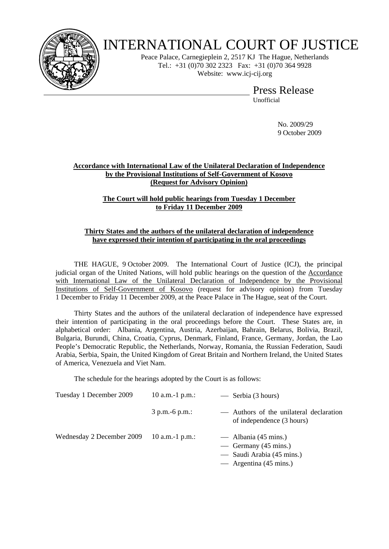

# INTERNATIONAL COURT OF JUSTICE

Peace Palace, Carnegieplein 2, 2517 KJ The Hague, Netherlands Tel.: +31 (0)70 302 2323 Fax: +31 (0)70 364 9928 Website: www.icj-cij.org

Press Release

Unofficial

 No. 2009/29 9 October 2009

## **Accordance with International Law of the Unilateral Declaration of Independence by the Provisional Institutions of Self-Government of Kosovo (Request for Advisory Opinion)**

#### **The Court will hold public hearings from Tuesday 1 December to Friday 11 December 2009**

## **Thirty States and the authors of the unilateral declaration of independence have expressed their intention of participating in the oral proceedings**

 THE HAGUE, 9 October 2009. The International Court of Justice (ICJ), the principal judicial organ of the United Nations, will hold public hearings on the question of the Accordance with International Law of the Unilateral Declaration of Independence by the Provisional Institutions of Self-Government of Kosovo (request for advisory opinion) from Tuesday 1 December to Friday 11 December 2009, at the Peace Palace in The Hague, seat of the Court.

 Thirty States and the authors of the unilateral declaration of independence have expressed their intention of participating in the oral proceedings before the Court. These States are, in alphabetical order: Albania, Argentina, Austria, Azerbaijan, Bahrain, Belarus, Bolivia, Brazil, Bulgaria, Burundi, China, Croatia, Cyprus, Denmark, Finland, France, Germany, Jordan, the Lao People's Democratic Republic, the Netherlands, Norway, Romania, the Russian Federation, Saudi Arabia, Serbia, Spain, the United Kingdom of Great Britain and Northern Ireland, the United States of America, Venezuela and Viet Nam.

The schedule for the hearings adopted by the Court is as follows:

| Tuesday 1 December 2009   | 10 a.m.-1 $p.m.:$ | — Serbia (3 hours)                                                                                                      |
|---------------------------|-------------------|-------------------------------------------------------------------------------------------------------------------------|
|                           | $3 p.m.-6 p.m.:$  | — Authors of the unilateral declaration<br>of independence (3 hours)                                                    |
| Wednesday 2 December 2009 | 10 a.m.-1 $p.m.:$ | — Albania $(45 \text{ mins.})$<br>— Germany (45 mins.)<br>— Saudi Arabia (45 mins.)<br>— Argentina $(45 \text{ mins.})$ |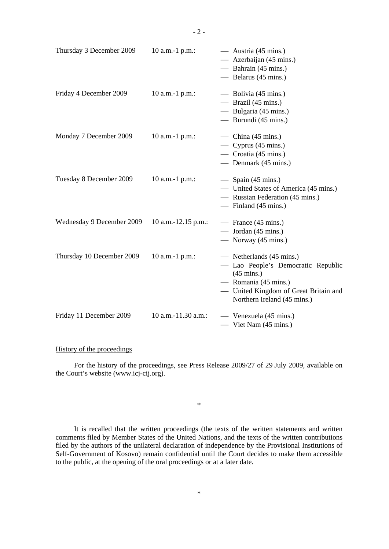| Thursday 3 December 2009  | 10 a.m.-1 p.m.:       | — Austria $(45 \text{ mins.})$<br>— Azerbaijan (45 mins.)<br>— Bahrain $(45 \text{ mins.})$<br>— Belarus (45 mins.)                                                                              |
|---------------------------|-----------------------|--------------------------------------------------------------------------------------------------------------------------------------------------------------------------------------------------|
| Friday 4 December 2009    | $10$ a.m.-1 p.m.:     | — Bolivia (45 mins.)<br>— Brazil $(45 \text{ mins.})$<br>— Bulgaria (45 mins.)<br>— Burundi (45 mins.)                                                                                           |
| Monday 7 December 2009    | 10 a.m.-1 p.m.:       | — China $(45 \text{ mins.})$<br>— Cyprus $(45 \text{ mins.})$<br>— Croatia $(45 \text{ mins.})$<br>— Denmark (45 mins.)                                                                          |
| Tuesday 8 December 2009   | $10$ a.m.-1 p.m.:     | $\sim$ Spain (45 mins.)<br>- United States of America (45 mins.)<br>— Russian Federation (45 mins.)<br>$-$ Finland (45 mins.)                                                                    |
| Wednesday 9 December 2009 | $10$ a.m.-12.15 p.m.: | — France $(45 \text{ mins.})$<br>— Jordan $(45 \text{ mins.})$<br>— Norway $(45 \text{ mins.})$                                                                                                  |
| Thursday 10 December 2009 | $10$ a.m.-1 p.m.:     | — Netherlands (45 mins.)<br>- Lao People's Democratic Republic<br>$(45 \text{ mins.})$<br>— Romania $(45 \text{ mins.})$<br>- United Kingdom of Great Britain and<br>Northern Ireland (45 mins.) |
| Friday 11 December 2009   | 10 a.m.-11.30 a.m.:   | — Venezuela (45 mins.)<br>$-$ Viet Nam (45 mins.)                                                                                                                                                |

#### History of the proceedings

 For the history of the proceedings, see Press Release 2009/27 of 29 July 2009, available on the Court's website (www.icj-cij.org).

\*

 It is recalled that the written proceedings (the texts of the written statements and written comments filed by Member States of the United Nations, and the texts of the written contributions filed by the authors of the unilateral declaration of independence by the Provisional Institutions of Self-Government of Kosovo) remain confidential until the Court decides to make them accessible to the public, at the opening of the oral proceedings or at a later date.